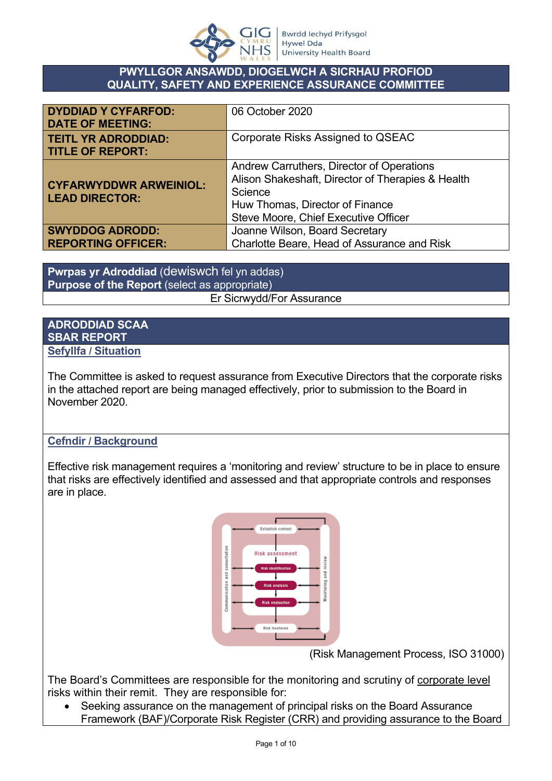

#### **PWYLLGOR ANSAWDD, DIOGELWCH A SICRHAU PROFIOD QUALITY, SAFETY AND EXPERIENCE ASSURANCE COMMITTEE**

| <b>DYDDIAD Y CYFARFOD:</b><br><b>DATE OF MEETING:</b>  | 06 October 2020                                                                                                                                                                      |
|--------------------------------------------------------|--------------------------------------------------------------------------------------------------------------------------------------------------------------------------------------|
| <b>TEITL YR ADRODDIAD:</b><br><b>TITLE OF REPORT:</b>  | Corporate Risks Assigned to QSEAC                                                                                                                                                    |
| <b>CYFARWYDDWR ARWEINIOL:</b><br><b>LEAD DIRECTOR:</b> | Andrew Carruthers, Director of Operations<br>Alison Shakeshaft, Director of Therapies & Health<br>Science<br>Huw Thomas, Director of Finance<br>Steve Moore, Chief Executive Officer |
| <b>SWYDDOG ADRODD:</b>                                 | Joanne Wilson, Board Secretary                                                                                                                                                       |
| <b>REPORTING OFFICER:</b>                              | Charlotte Beare, Head of Assurance and Risk                                                                                                                                          |

**Pwrpas yr Adroddiad** (dewiswch fel yn addas) **Purpose of the Report** (select as appropriate) Er Sicrwydd/For Assurance

#### **ADRODDIAD SCAA SBAR REPORT Sefyllfa / Situation**

The Committee is asked to request assurance from Executive Directors that the corporate risks in the attached report are being managed effectively, prior to submission to the Board in November 2020.

## **Cefndir / Background**

Effective risk management requires a 'monitoring and review' structure to be in place to ensure that risks are effectively identified and assessed and that appropriate controls and responses are in place.



(Risk Management Process, ISO 31000)

The Board's Committees are responsible for the monitoring and scrutiny of corporate level risks within their remit. They are responsible for:

 Seeking assurance on the management of principal risks on the Board Assurance Framework (BAF)/Corporate Risk Register (CRR) and providing assurance to the Board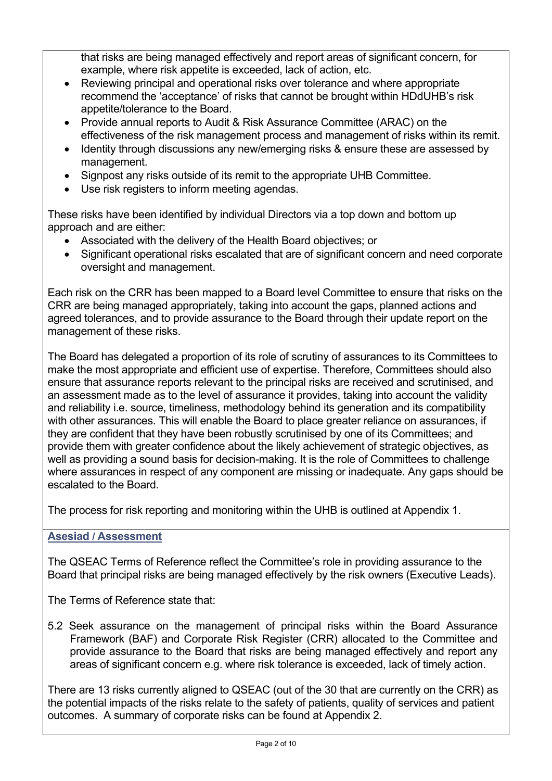that risks are being managed effectively and report areas of significant concern, for example, where risk appetite is exceeded, lack of action, etc.

- Reviewing principal and operational risks over tolerance and where appropriate recommend the 'acceptance' of risks that cannot be brought within HDdUHB's risk appetite/tolerance to the Board.
- Provide annual reports to Audit & Risk Assurance Committee (ARAC) on the effectiveness of the risk management process and management of risks within its remit.
- Identity through discussions any new/emerging risks & ensure these are assessed by management.
- Signpost any risks outside of its remit to the appropriate UHB Committee.
- Use risk registers to inform meeting agendas.

These risks have been identified by individual Directors via a top down and bottom up approach and are either:

- Associated with the delivery of the Health Board objectives; or
- Significant operational risks escalated that are of significant concern and need corporate oversight and management.

Each risk on the CRR has been mapped to a Board level Committee to ensure that risks on the CRR are being managed appropriately, taking into account the gaps, planned actions and agreed tolerances, and to provide assurance to the Board through their update report on the management of these risks.

The Board has delegated a proportion of its role of scrutiny of assurances to its Committees to make the most appropriate and efficient use of expertise. Therefore, Committees should also ensure that assurance reports relevant to the principal risks are received and scrutinised, and an assessment made as to the level of assurance it provides, taking into account the validity and reliability i.e. source, timeliness, methodology behind its generation and its compatibility with other assurances. This will enable the Board to place greater reliance on assurances, if they are confident that they have been robustly scrutinised by one of its Committees; and provide them with greater confidence about the likely achievement of strategic objectives, as well as providing a sound basis for decision-making. It is the role of Committees to challenge where assurances in respect of any component are missing or inadequate. Any gaps should be escalated to the Board.

The process for risk reporting and monitoring within the UHB is outlined at Appendix 1.

## **Asesiad / Assessment**

The QSEAC Terms of Reference reflect the Committee's role in providing assurance to the Board that principal risks are being managed effectively by the risk owners (Executive Leads).

The Terms of Reference state that:

5.2 Seek assurance on the management of principal risks within the Board Assurance Framework (BAF) and Corporate Risk Register (CRR) allocated to the Committee and provide assurance to the Board that risks are being managed effectively and report any areas of significant concern e.g. where risk tolerance is exceeded, lack of timely action.

There are 13 risks currently aligned to QSEAC (out of the 30 that are currently on the CRR) as the potential impacts of the risks relate to the safety of patients, quality of services and patient outcomes. A summary of corporate risks can be found at Appendix 2.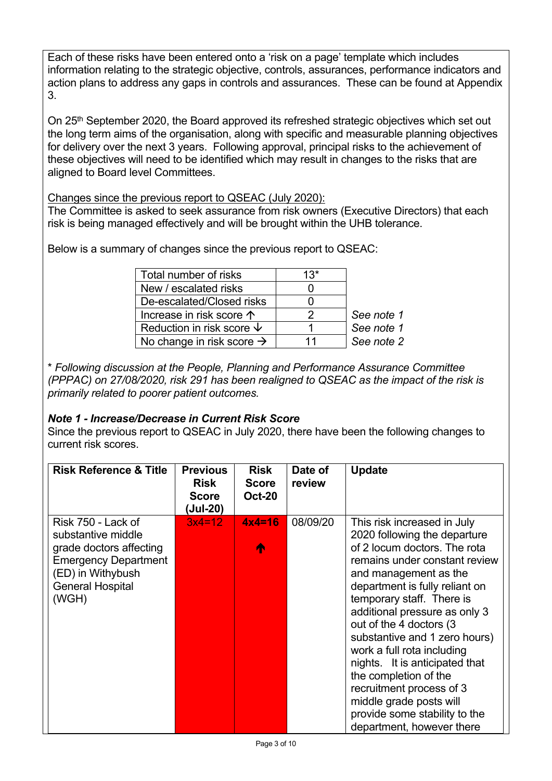Each of these risks have been entered onto a 'risk on a page' template which includes information relating to the strategic objective, controls, assurances, performance indicators and action plans to address any gaps in controls and assurances. These can be found at Appendix 3.

On 25<sup>th</sup> September 2020, the Board approved its refreshed strategic objectives which set out the long term aims of the organisation, along with specific and measurable planning objectives for delivery over the next 3 years. Following approval, principal risks to the achievement of these objectives will need to be identified which may result in changes to the risks that are aligned to Board level Committees.

Changes since the previous report to QSEAC (July 2020):

The Committee is asked to seek assurance from risk owners (Executive Directors) that each risk is being managed effectively and will be brought within the UHB tolerance.

Below is a summary of changes since the previous report to QSEAC:

| Total number of risks                 | $13*$ |            |
|---------------------------------------|-------|------------|
| New / escalated risks                 |       |            |
| De-escalated/Closed risks             |       |            |
| Increase in risk score 个              | 2     | See note 1 |
| Reduction in risk score $\downarrow$  |       | See note 1 |
| No change in risk score $\rightarrow$ | 11    | See note 2 |

\* *Following discussion at the People, Planning and Performance Assurance Committee (PPPAC) on 27/08/2020, risk 291 has been realigned to QSEAC as the impact of the risk is primarily related to poorer patient outcomes.*

## *Note 1 - Increase/Decrease in Current Risk Score*

Since the previous report to QSEAC in July 2020, there have been the following changes to current risk scores.

| <b>Risk Reference &amp; Title</b>                                                                                                                           | <b>Previous</b><br><b>Risk</b><br><b>Score</b><br>(Jul-20) | <b>Risk</b><br><b>Score</b><br><b>Oct-20</b> | Date of<br>review | <b>Update</b>                                                                                                                                                                                                                                                                                                                                                                                                                                                                                                                   |
|-------------------------------------------------------------------------------------------------------------------------------------------------------------|------------------------------------------------------------|----------------------------------------------|-------------------|---------------------------------------------------------------------------------------------------------------------------------------------------------------------------------------------------------------------------------------------------------------------------------------------------------------------------------------------------------------------------------------------------------------------------------------------------------------------------------------------------------------------------------|
| Risk 750 - Lack of<br>substantive middle<br>grade doctors affecting<br><b>Emergency Department</b><br>(ED) in Withybush<br><b>General Hospital</b><br>(WGH) | $3x4=12$                                                   | $4x4=16$<br>∧                                | 08/09/20          | This risk increased in July<br>2020 following the departure<br>of 2 locum doctors. The rota<br>remains under constant review<br>and management as the<br>department is fully reliant on<br>temporary staff. There is<br>additional pressure as only 3<br>out of the 4 doctors (3<br>substantive and 1 zero hours)<br>work a full rota including<br>nights. It is anticipated that<br>the completion of the<br>recruitment process of 3<br>middle grade posts will<br>provide some stability to the<br>department, however there |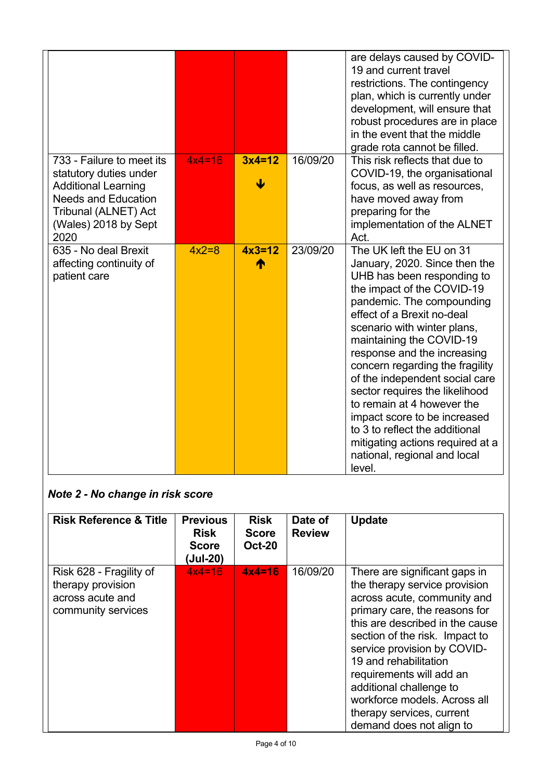|                                                                                                                                                                         |          |               |          | are delays caused by COVID-<br>19 and current travel<br>restrictions. The contingency<br>plan, which is currently under<br>development, will ensure that<br>robust procedures are in place<br>in the event that the middle<br>grade rota cannot be filled.                                                                                                                                                                                                                                                                                                      |
|-------------------------------------------------------------------------------------------------------------------------------------------------------------------------|----------|---------------|----------|-----------------------------------------------------------------------------------------------------------------------------------------------------------------------------------------------------------------------------------------------------------------------------------------------------------------------------------------------------------------------------------------------------------------------------------------------------------------------------------------------------------------------------------------------------------------|
| 733 - Failure to meet its<br>statutory duties under<br><b>Additional Learning</b><br><b>Needs and Education</b><br>Tribunal (ALNET) Act<br>(Wales) 2018 by Sept<br>2020 | $4x4=16$ | $3x4=12$<br>↓ | 16/09/20 | This risk reflects that due to<br>COVID-19, the organisational<br>focus, as well as resources,<br>have moved away from<br>preparing for the<br>implementation of the ALNET<br>Act.                                                                                                                                                                                                                                                                                                                                                                              |
| 635 - No deal Brexit<br>affecting continuity of<br>patient care                                                                                                         | $4x2=8$  | $4x3=12$<br>∧ | 23/09/20 | The UK left the EU on 31<br>January, 2020. Since then the<br>UHB has been responding to<br>the impact of the COVID-19<br>pandemic. The compounding<br>effect of a Brexit no-deal<br>scenario with winter plans,<br>maintaining the COVID-19<br>response and the increasing<br>concern regarding the fragility<br>of the independent social care<br>sector requires the likelihood<br>to remain at 4 however the<br>impact score to be increased<br>to 3 to reflect the additional<br>mitigating actions required at a<br>national, regional and local<br>level. |

# *Note 2 - No change in risk score*

| <b>Risk Reference &amp; Title</b>                                                      | <b>Previous</b><br><b>Risk</b><br><b>Score</b><br>(Jul-20) | <b>Risk</b><br><b>Score</b><br><b>Oct-20</b> | Date of<br><b>Review</b> | <b>Update</b>                                                                                                                                                                                                                                                                                                                                                                                               |
|----------------------------------------------------------------------------------------|------------------------------------------------------------|----------------------------------------------|--------------------------|-------------------------------------------------------------------------------------------------------------------------------------------------------------------------------------------------------------------------------------------------------------------------------------------------------------------------------------------------------------------------------------------------------------|
| Risk 628 - Fragility of<br>therapy provision<br>across acute and<br>community services | $4x4=16$                                                   | $4x4=16$                                     | 16/09/20                 | There are significant gaps in<br>the therapy service provision<br>across acute, community and<br>primary care, the reasons for<br>this are described in the cause<br>section of the risk. Impact to<br>service provision by COVID-<br>19 and rehabilitation<br>requirements will add an<br>additional challenge to<br>workforce models. Across all<br>therapy services, current<br>demand does not align to |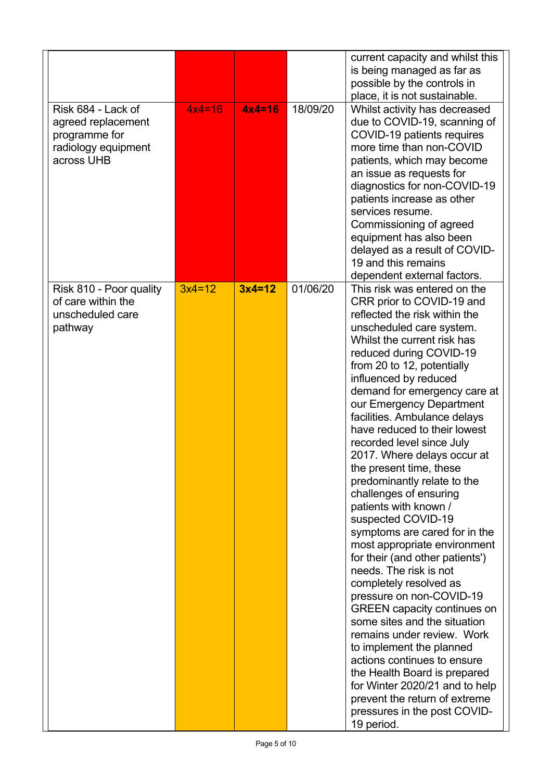|                                                                                                |          |          |          | current capacity and whilst this<br>is being managed as far as<br>possible by the controls in<br>place, it is not sustainable.                                                                                                                                                                                                                                                                                                                                                                                                                                                                                                                                                                                                                                                                                                                                                                                                                                                                                                                                         |
|------------------------------------------------------------------------------------------------|----------|----------|----------|------------------------------------------------------------------------------------------------------------------------------------------------------------------------------------------------------------------------------------------------------------------------------------------------------------------------------------------------------------------------------------------------------------------------------------------------------------------------------------------------------------------------------------------------------------------------------------------------------------------------------------------------------------------------------------------------------------------------------------------------------------------------------------------------------------------------------------------------------------------------------------------------------------------------------------------------------------------------------------------------------------------------------------------------------------------------|
| Risk 684 - Lack of<br>agreed replacement<br>programme for<br>radiology equipment<br>across UHB | $4x4=16$ | $4x4=16$ | 18/09/20 | Whilst activity has decreased<br>due to COVID-19, scanning of<br>COVID-19 patients requires<br>more time than non-COVID<br>patients, which may become<br>an issue as requests for<br>diagnostics for non-COVID-19<br>patients increase as other<br>services resume.<br>Commissioning of agreed<br>equipment has also been<br>delayed as a result of COVID-<br>19 and this remains<br>dependent external factors.                                                                                                                                                                                                                                                                                                                                                                                                                                                                                                                                                                                                                                                       |
| Risk 810 - Poor quality<br>of care within the<br>unscheduled care<br>pathway                   | $3x4=12$ | $3x4=12$ | 01/06/20 | This risk was entered on the<br>CRR prior to COVID-19 and<br>reflected the risk within the<br>unscheduled care system.<br>Whilst the current risk has<br>reduced during COVID-19<br>from 20 to 12, potentially<br>influenced by reduced<br>demand for emergency care at<br>our Emergency Department<br>facilities. Ambulance delays<br>have reduced to their lowest<br>recorded level since July<br>2017. Where delays occur at<br>the present time, these<br>predominantly relate to the<br>challenges of ensuring<br>patients with known /<br>suspected COVID-19<br>symptoms are cared for in the<br>most appropriate environment<br>for their (and other patients')<br>needs. The risk is not<br>completely resolved as<br>pressure on non-COVID-19<br><b>GREEN</b> capacity continues on<br>some sites and the situation<br>remains under review. Work<br>to implement the planned<br>actions continues to ensure<br>the Health Board is prepared<br>for Winter 2020/21 and to help<br>prevent the return of extreme<br>pressures in the post COVID-<br>19 period. |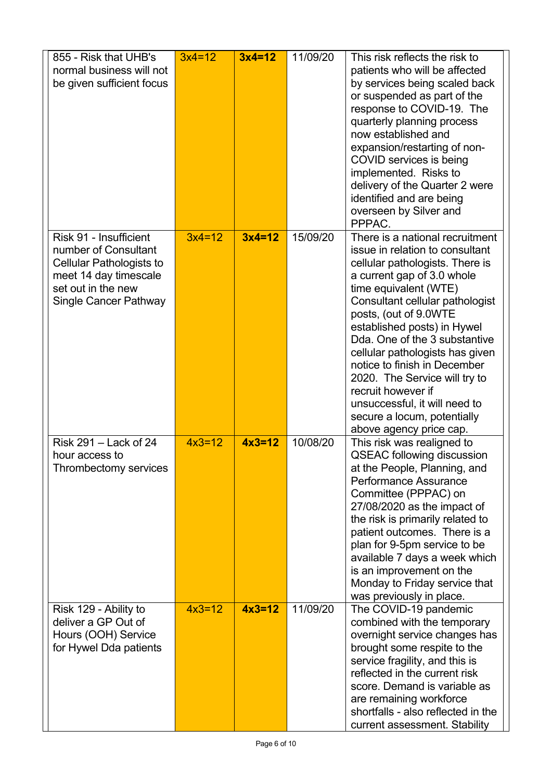| 855 - Risk that UHB's<br>normal business will not<br>be given sufficient focus                                                                     | $3x4=12$ | $3x4=12$ | 11/09/20 | This risk reflects the risk to<br>patients who will be affected<br>by services being scaled back<br>or suspended as part of the<br>response to COVID-19. The<br>quarterly planning process<br>now established and<br>expansion/restarting of non-<br>COVID services is being<br>implemented. Risks to<br>delivery of the Quarter 2 were<br>identified and are being<br>overseen by Silver and<br>PPPAC.                                                                                                       |
|----------------------------------------------------------------------------------------------------------------------------------------------------|----------|----------|----------|---------------------------------------------------------------------------------------------------------------------------------------------------------------------------------------------------------------------------------------------------------------------------------------------------------------------------------------------------------------------------------------------------------------------------------------------------------------------------------------------------------------|
| Risk 91 - Insufficient<br>number of Consultant<br>Cellular Pathologists to<br>meet 14 day timescale<br>set out in the new<br>Single Cancer Pathway | $3x4=12$ | $3x4=12$ | 15/09/20 | There is a national recruitment<br>issue in relation to consultant<br>cellular pathologists. There is<br>a current gap of 3.0 whole<br>time equivalent (WTE)<br>Consultant cellular pathologist<br>posts, (out of 9.0WTE<br>established posts) in Hywel<br>Dda. One of the 3 substantive<br>cellular pathologists has given<br>notice to finish in December<br>2020. The Service will try to<br>recruit however if<br>unsuccessful, it will need to<br>secure a locum, potentially<br>above agency price cap. |
| Risk 291 - Lack of 24<br>hour access to<br>Thrombectomy services                                                                                   | $4x3=12$ | $4x3=12$ | 10/08/20 | This risk was realigned to<br><b>QSEAC following discussion</b><br>at the People, Planning, and<br>Performance Assurance<br>Committee (PPPAC) on<br>27/08/2020 as the impact of<br>the risk is primarily related to<br>patient outcomes. There is a<br>plan for 9-5pm service to be<br>available 7 days a week which<br>is an improvement on the<br>Monday to Friday service that<br>was previously in place.                                                                                                 |
| Risk 129 - Ability to<br>deliver a GP Out of<br>Hours (OOH) Service<br>for Hywel Dda patients                                                      | $4x3=12$ | $4x3=12$ | 11/09/20 | The COVID-19 pandemic<br>combined with the temporary<br>overnight service changes has<br>brought some respite to the<br>service fragility, and this is<br>reflected in the current risk<br>score. Demand is variable as<br>are remaining workforce<br>shortfalls - also reflected in the<br>current assessment. Stability                                                                                                                                                                                     |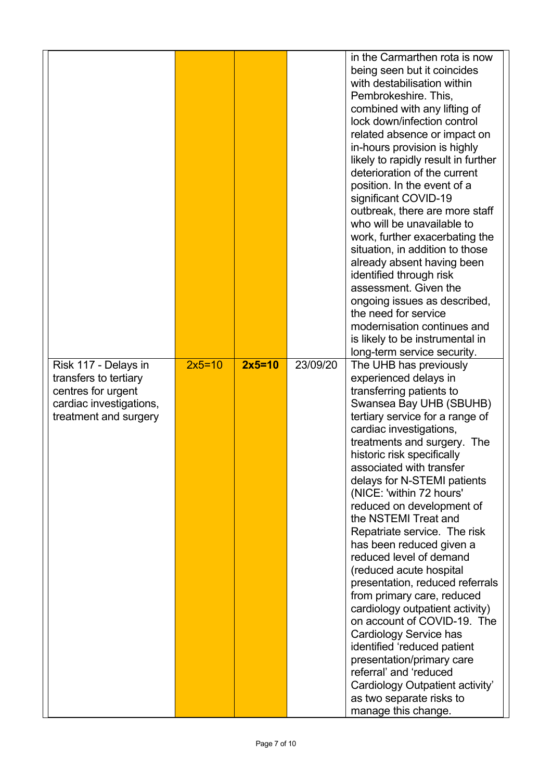|                                                                                                                         |          |          |          | in the Carmarthen rota is now<br>being seen but it coincides<br>with destabilisation within<br>Pembrokeshire. This,<br>combined with any lifting of<br>lock down/infection control<br>related absence or impact on<br>in-hours provision is highly<br>likely to rapidly result in further<br>deterioration of the current<br>position. In the event of a<br>significant COVID-19<br>outbreak, there are more staff<br>who will be unavailable to<br>work, further exacerbating the<br>situation, in addition to those<br>already absent having been<br>identified through risk<br>assessment. Given the<br>ongoing issues as described,<br>the need for service<br>modernisation continues and<br>is likely to be instrumental in<br>long-term service security.                                                                         |
|-------------------------------------------------------------------------------------------------------------------------|----------|----------|----------|------------------------------------------------------------------------------------------------------------------------------------------------------------------------------------------------------------------------------------------------------------------------------------------------------------------------------------------------------------------------------------------------------------------------------------------------------------------------------------------------------------------------------------------------------------------------------------------------------------------------------------------------------------------------------------------------------------------------------------------------------------------------------------------------------------------------------------------|
| Risk 117 - Delays in<br>transfers to tertiary<br>centres for urgent<br>cardiac investigations,<br>treatment and surgery | $2x5=10$ | $2x5=10$ | 23/09/20 | The UHB has previously<br>experienced delays in<br>transferring patients to<br>Swansea Bay UHB (SBUHB)<br>tertiary service for a range of<br>cardiac investigations,<br>treatments and surgery. The<br>historic risk specifically<br>associated with transfer<br>delays for N-STEMI patients<br>(NICE: 'within 72 hours'<br>reduced on development of<br>the NSTEMI Treat and<br>Repatriate service. The risk<br>has been reduced given a<br>reduced level of demand<br>(reduced acute hospital<br>presentation, reduced referrals<br>from primary care, reduced<br>cardiology outpatient activity)<br>on account of COVID-19. The<br>Cardiology Service has<br>identified 'reduced patient<br>presentation/primary care<br>referral' and 'reduced<br>Cardiology Outpatient activity'<br>as two separate risks to<br>manage this change. |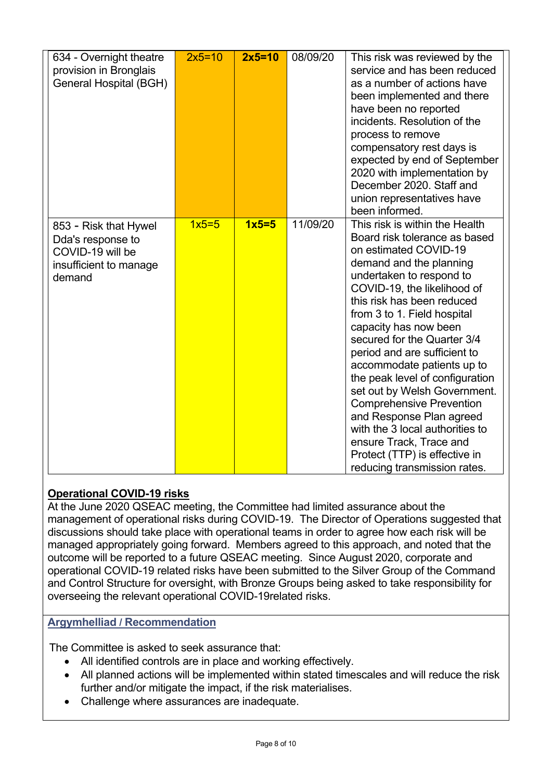| 634 - Overnight theatre<br>provision in Bronglais<br>General Hospital (BGH)                        | $2x5=10$ | $2x5=10$ | 08/09/20 | This risk was reviewed by the<br>service and has been reduced<br>as a number of actions have<br>been implemented and there<br>have been no reported<br>incidents. Resolution of the<br>process to remove<br>compensatory rest days is<br>expected by end of September<br>2020 with implementation by<br>December 2020, Staff and<br>union representatives have                                                                                                                                                                                                                                                                                       |
|----------------------------------------------------------------------------------------------------|----------|----------|----------|------------------------------------------------------------------------------------------------------------------------------------------------------------------------------------------------------------------------------------------------------------------------------------------------------------------------------------------------------------------------------------------------------------------------------------------------------------------------------------------------------------------------------------------------------------------------------------------------------------------------------------------------------|
| 853 - Risk that Hywel<br>Dda's response to<br>COVID-19 will be<br>insufficient to manage<br>demand | $1x5=5$  | $1x5=5$  | 11/09/20 | been informed.<br>This risk is within the Health<br>Board risk tolerance as based<br>on estimated COVID-19<br>demand and the planning<br>undertaken to respond to<br>COVID-19, the likelihood of<br>this risk has been reduced<br>from 3 to 1. Field hospital<br>capacity has now been<br>secured for the Quarter 3/4<br>period and are sufficient to<br>accommodate patients up to<br>the peak level of configuration<br>set out by Welsh Government.<br><b>Comprehensive Prevention</b><br>and Response Plan agreed<br>with the 3 local authorities to<br>ensure Track, Trace and<br>Protect (TTP) is effective in<br>reducing transmission rates. |

# **Operational COVID-19 risks**

At the June 2020 QSEAC meeting, the Committee had limited assurance about the management of operational risks during COVID-19. The Director of Operations suggested that discussions should take place with operational teams in order to agree how each risk will be managed appropriately going forward. Members agreed to this approach, and noted that the outcome will be reported to a future QSEAC meeting. Since August 2020, corporate and operational COVID-19 related risks have been submitted to the Silver Group of the Command and Control Structure for oversight, with Bronze Groups being asked to take responsibility for overseeing the relevant operational COVID-19related risks.

#### **Argymhelliad / Recommendation**

The Committee is asked to seek assurance that:

- All identified controls are in place and working effectively.
- All planned actions will be implemented within stated timescales and will reduce the risk further and/or mitigate the impact, if the risk materialises.
- Challenge where assurances are inadequate.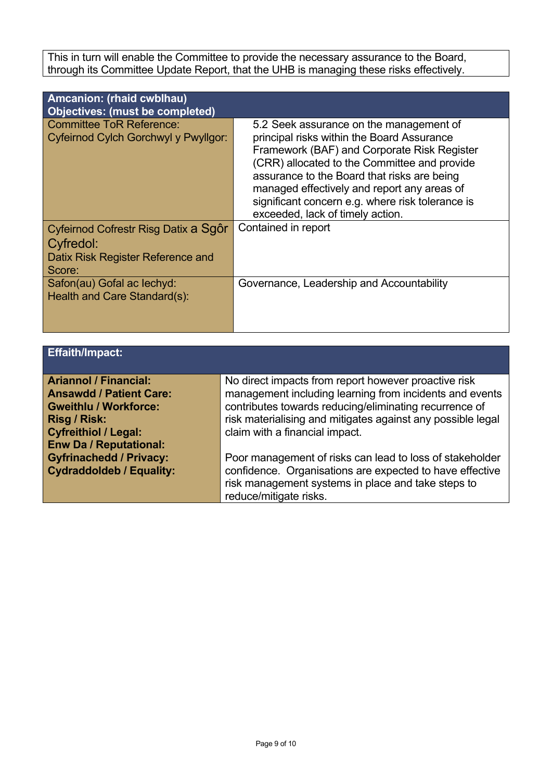This in turn will enable the Committee to provide the necessary assurance to the Board, through its Committee Update Report, that the UHB is managing these risks effectively.

| Amcanion: (rhaid cwblhau)<br><b>Objectives: (must be completed)</b>                              |                                                                                                                                                                                                                                                                                                                                                                            |
|--------------------------------------------------------------------------------------------------|----------------------------------------------------------------------------------------------------------------------------------------------------------------------------------------------------------------------------------------------------------------------------------------------------------------------------------------------------------------------------|
| <b>Committee ToR Reference:</b><br>Cyfeirnod Cylch Gorchwyl y Pwyllgor:                          | 5.2 Seek assurance on the management of<br>principal risks within the Board Assurance<br>Framework (BAF) and Corporate Risk Register<br>(CRR) allocated to the Committee and provide<br>assurance to the Board that risks are being<br>managed effectively and report any areas of<br>significant concern e.g. where risk tolerance is<br>exceeded, lack of timely action. |
| Cyfeirnod Cofrestr Risg Datix a Sgôr<br>Cyfredol:<br>Datix Risk Register Reference and<br>Score: | Contained in report                                                                                                                                                                                                                                                                                                                                                        |
| Safon(au) Gofal ac lechyd:<br>Health and Care Standard(s):                                       | Governance, Leadership and Accountability                                                                                                                                                                                                                                                                                                                                  |

| <b>Effaith/Impact:</b>          |                                                             |
|---------------------------------|-------------------------------------------------------------|
| <b>Ariannol / Financial:</b>    |                                                             |
|                                 | No direct impacts from report however proactive risk        |
| <b>Ansawdd / Patient Care:</b>  | management including learning from incidents and events     |
| <b>Gweithlu / Workforce:</b>    | contributes towards reducing/eliminating recurrence of      |
| Risg / Risk:                    | risk materialising and mitigates against any possible legal |
| <b>Cyfreithiol / Legal:</b>     | claim with a financial impact.                              |
| <b>Enw Da / Reputational:</b>   |                                                             |
| <b>Gyfrinachedd / Privacy:</b>  | Poor management of risks can lead to loss of stakeholder    |
| <b>Cydraddoldeb / Equality:</b> | confidence. Organisations are expected to have effective    |
|                                 | risk management systems in place and take steps to          |
|                                 | reduce/mitigate risks.                                      |